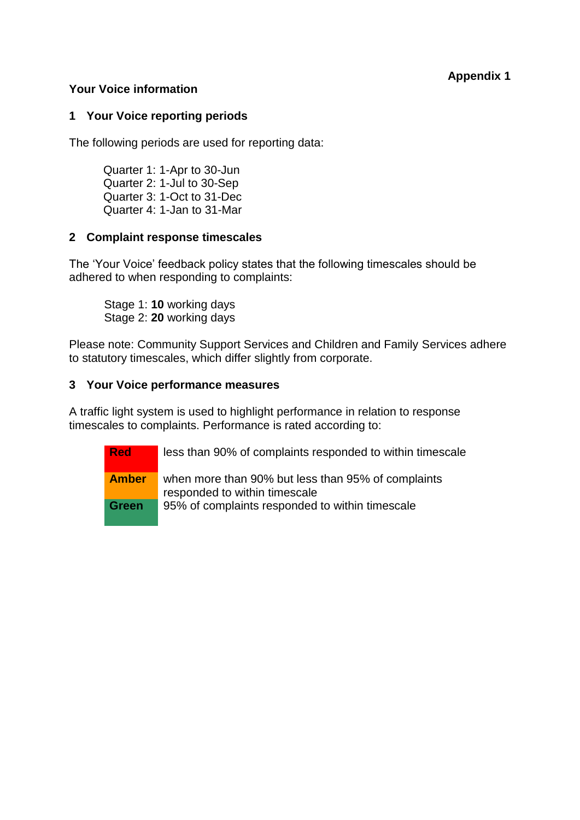# **Appendix 1**

## **Your Voice information**

## **1 Your Voice reporting periods**

The following periods are used for reporting data:

Quarter 1: 1-Apr to 30-Jun Quarter 2: 1-Jul to 30-Sep Quarter 3: 1-Oct to 31-Dec Quarter 4: 1-Jan to 31-Mar

## **2 Complaint response timescales**

The 'Your Voice' feedback policy states that the following timescales should be adhered to when responding to complaints:

Stage 1: **10** working days Stage 2: **20** working days

Please note: Community Support Services and Children and Family Services adhere to statutory timescales, which differ slightly from corporate.

### **3 Your Voice performance measures**

A traffic light system is used to highlight performance in relation to response timescales to complaints. Performance is rated according to:

> **Red** less than 90% of complaints responded to within timescale **Amber** when more than 90% but less than 95% of complaints responded to within timescale **Green** 95% of complaints responded to within timescale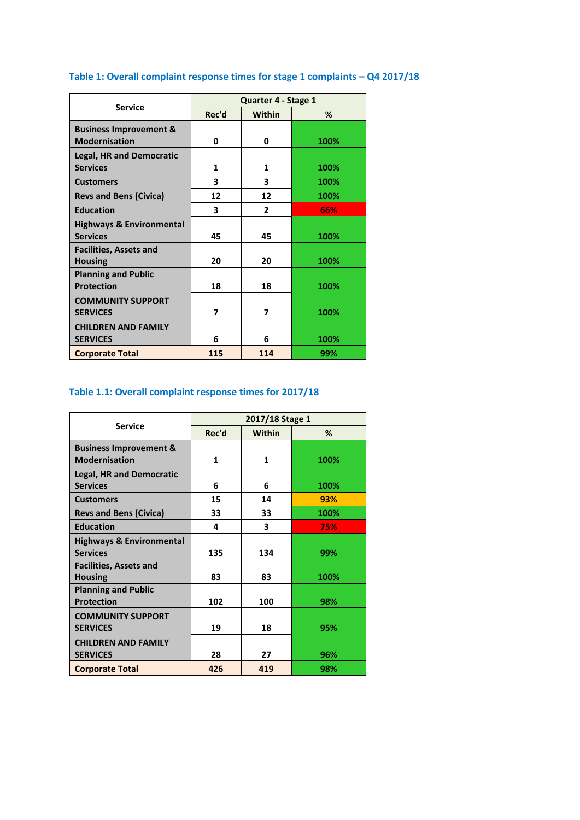| <b>Service</b>                                            | Quarter 4 - Stage 1 |                |      |  |
|-----------------------------------------------------------|---------------------|----------------|------|--|
|                                                           | Rec'd               | <b>Within</b>  | %    |  |
| <b>Business Improvement &amp;</b><br><b>Modernisation</b> | 0                   | 0              | 100% |  |
| <b>Legal, HR and Democratic</b><br><b>Services</b>        | $\mathbf{1}$        | 1              | 100% |  |
| <b>Customers</b>                                          | 3                   | 3              | 100% |  |
| <b>Revs and Bens (Civica)</b>                             | 12                  | 12             | 100% |  |
| <b>Education</b>                                          | 3                   | $\overline{2}$ | 66%  |  |
| <b>Highways &amp; Environmental</b><br><b>Services</b>    | 45                  | 45             | 100% |  |
| <b>Facilities, Assets and</b><br><b>Housing</b>           | 20                  | 20             | 100% |  |
| <b>Planning and Public</b><br><b>Protection</b>           | 18                  | 18             | 100% |  |
| <b>COMMUNITY SUPPORT</b><br><b>SERVICES</b>               | 7                   | 7              | 100% |  |
| <b>CHILDREN AND FAMILY</b><br><b>SERVICES</b>             | 6                   | 6              | 100% |  |
| <b>Corporate Total</b>                                    | 115                 | 114            | 99%  |  |

# **Table 1: Overall complaint response times for stage 1 complaints – Q4 2017/18**

# **Table 1.1: Overall complaint response times for 2017/18**

|                                     | 2017/18 Stage 1 |               |      |  |
|-------------------------------------|-----------------|---------------|------|--|
| <b>Service</b>                      | Rec'd           | <b>Within</b> | %    |  |
| <b>Business Improvement &amp;</b>   |                 |               |      |  |
| <b>Modernisation</b>                | 1               | 1             | 100% |  |
| <b>Legal, HR and Democratic</b>     |                 |               |      |  |
| <b>Services</b>                     | 6               | 6             | 100% |  |
| <b>Customers</b>                    | 15              | 14            | 93%  |  |
| <b>Revs and Bens (Civica)</b>       | 33              | 33            | 100% |  |
| <b>Education</b>                    | 4               | 3             | 75%  |  |
| <b>Highways &amp; Environmental</b> |                 |               |      |  |
| <b>Services</b>                     | 135             | 134           | 99%  |  |
| <b>Facilities, Assets and</b>       |                 |               |      |  |
| <b>Housing</b>                      | 83              | 83            | 100% |  |
| <b>Planning and Public</b>          |                 |               |      |  |
| <b>Protection</b>                   | 102             | 100           | 98%  |  |
| <b>COMMUNITY SUPPORT</b>            |                 |               |      |  |
| <b>SERVICES</b>                     | 19              | 18            | 95%  |  |
| <b>CHILDREN AND FAMILY</b>          |                 |               |      |  |
| <b>SERVICES</b>                     | 28              | 27            | 96%  |  |
| <b>Corporate Total</b>              | 426             | 419           | 98%  |  |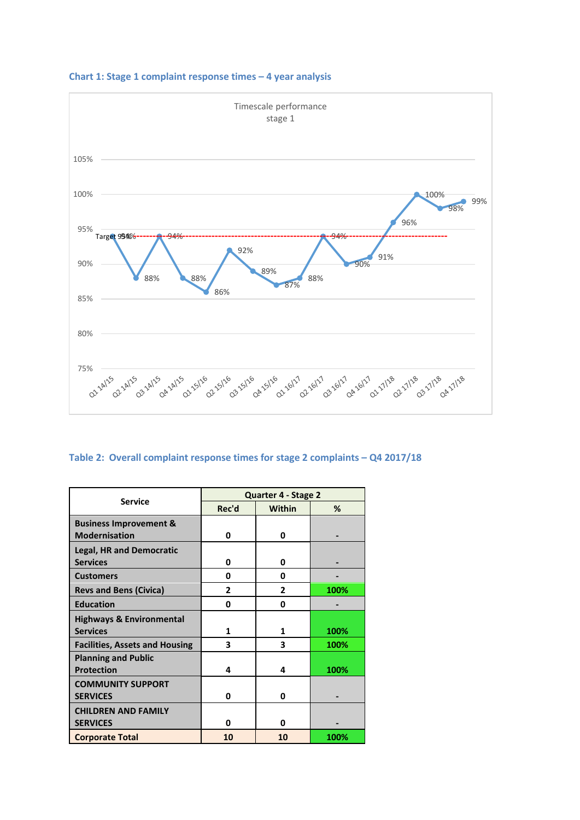

#### **Chart 1: Stage 1 complaint response times – 4 year analysis**

### **Table 2: Overall complaint response times for stage 2 complaints – Q4 2017/18**

|                                       | Quarter 4 - Stage 2 |               |      |  |
|---------------------------------------|---------------------|---------------|------|--|
| <b>Service</b>                        | Rec'd               | <b>Within</b> | %    |  |
| <b>Business Improvement &amp;</b>     |                     |               |      |  |
| <b>Modernisation</b>                  | 0                   | 0             |      |  |
| <b>Legal, HR and Democratic</b>       |                     |               |      |  |
| <b>Services</b>                       | 0                   | 0             |      |  |
| <b>Customers</b>                      | 0                   | 0             |      |  |
| <b>Revs and Bens (Civica)</b>         | $\mathbf{2}$        | $\mathbf{2}$  | 100% |  |
| <b>Education</b>                      | 0                   | 0             |      |  |
| <b>Highways &amp; Environmental</b>   |                     |               |      |  |
| <b>Services</b>                       | 1                   | 1             | 100% |  |
| <b>Facilities, Assets and Housing</b> | 3                   | 3             | 100% |  |
| <b>Planning and Public</b>            |                     |               |      |  |
| <b>Protection</b>                     | 4                   | 4             | 100% |  |
| <b>COMMUNITY SUPPORT</b>              |                     |               |      |  |
| <b>SERVICES</b>                       | 0                   | 0             |      |  |
| <b>CHILDREN AND FAMILY</b>            |                     |               |      |  |
| <b>SERVICES</b>                       | 0                   | ŋ             |      |  |
| <b>Corporate Total</b>                | 10                  | 10            | 100% |  |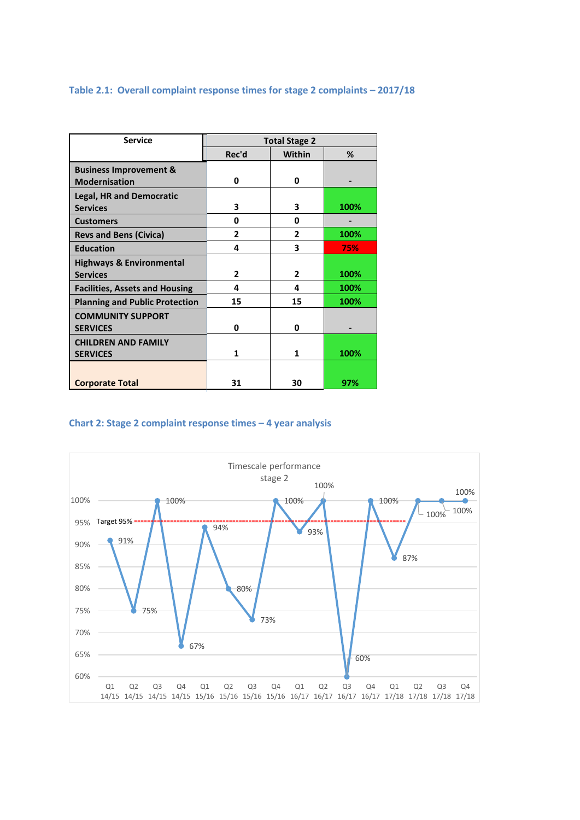#### **Table 2.1: Overall complaint response times for stage 2 complaints – 2017/18**

| <b>Service</b>                        | <b>Total Stage 2</b> |               |      |  |
|---------------------------------------|----------------------|---------------|------|--|
|                                       | Rec'd                | <b>Within</b> | %    |  |
| <b>Business Improvement &amp;</b>     |                      |               |      |  |
| <b>Modernisation</b>                  | 0                    | 0             |      |  |
| <b>Legal, HR and Democratic</b>       |                      |               |      |  |
| <b>Services</b>                       | 3                    | 3             | 100% |  |
| <b>Customers</b>                      | 0                    | 0             |      |  |
| <b>Revs and Bens (Civica)</b>         | $\mathbf{2}$         | $\mathbf{2}$  | 100% |  |
| <b>Education</b>                      | 4                    | 3             | 75%  |  |
| <b>Highways &amp; Environmental</b>   |                      |               |      |  |
| <b>Services</b>                       | $\overline{2}$       | $\mathbf{2}$  | 100% |  |
| <b>Facilities, Assets and Housing</b> | 4                    | 4             | 100% |  |
| <b>Planning and Public Protection</b> | 15                   | 15            | 100% |  |
| <b>COMMUNITY SUPPORT</b>              |                      |               |      |  |
| <b>SERVICES</b>                       | 0                    | 0             |      |  |
| <b>CHILDREN AND FAMILY</b>            |                      |               |      |  |
| <b>SERVICES</b>                       | 1                    | 1             | 100% |  |
|                                       |                      |               |      |  |
| <b>Corporate Total</b>                | 31                   | 30            | 97%  |  |

### **Chart 2: Stage 2 complaint response times – 4 year analysis**

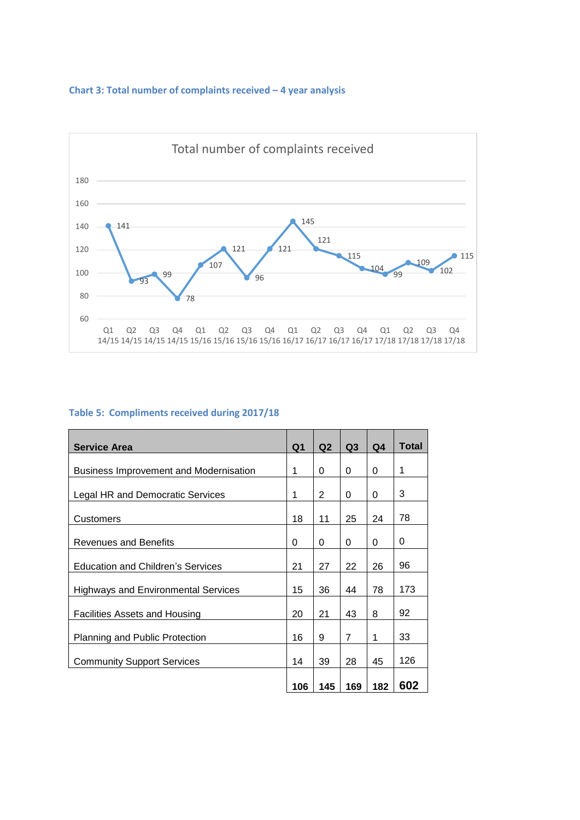#### **Chart 3: Total number of complaints received – 4 year analysis**



#### **Table 5: Compliments received during 2017/18**

| <b>Service Area</b>                        | Q <sub>1</sub> | Q2             | Q <sub>3</sub> | Q <sub>4</sub> | <b>Total</b> |
|--------------------------------------------|----------------|----------------|----------------|----------------|--------------|
| Business Improvement and Modernisation     | 1              | 0              | 0              | 0              | 1            |
| Legal HR and Democratic Services           | 1              | $\overline{2}$ | 0              | 0              | 3            |
| Customers                                  | 18             | 11             | 25             | 24             | 78           |
| <b>Revenues and Benefits</b>               | 0              | 0              | 0              | 0              | 0            |
| <b>Education and Children's Services</b>   | 21             | 27             | 22             | 26             | 96           |
| <b>Highways and Environmental Services</b> | 15             | 36             | 44             | 78             | 173          |
| Facilities Assets and Housing              | 20             | 21             | 43             | 8              | 92           |
| Planning and Public Protection             | 16             | 9              | $\overline{7}$ | 1              | 33           |
| <b>Community Support Services</b>          | 14             | 39             | 28             | 45             | 126          |
|                                            | 106            | 145            | 169            | 182            | 602          |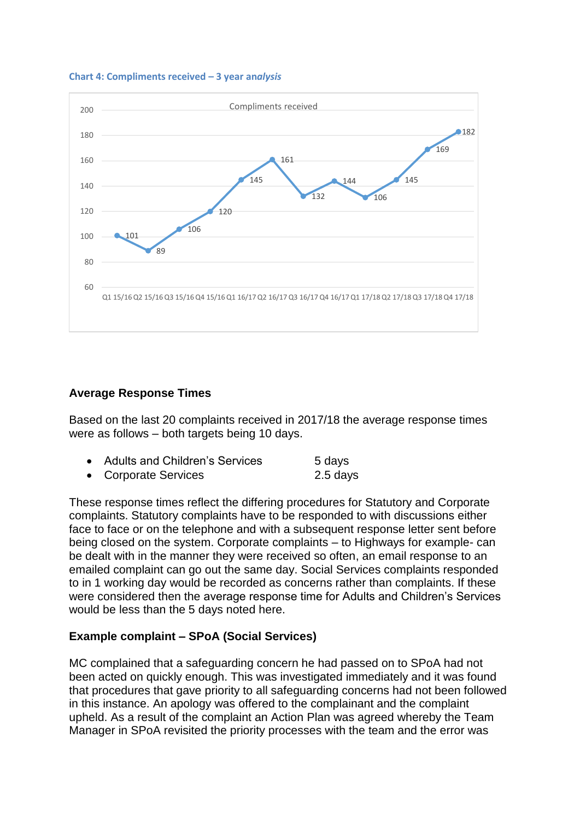



## **Average Response Times**

Based on the last 20 complaints received in 2017/18 the average response times were as follows – both targets being 10 days.

| • Adults and Children's Services | 5 days     |
|----------------------------------|------------|
| • Corporate Services             | $2.5$ days |

These response times reflect the differing procedures for Statutory and Corporate complaints. Statutory complaints have to be responded to with discussions either face to face or on the telephone and with a subsequent response letter sent before being closed on the system. Corporate complaints – to Highways for example- can be dealt with in the manner they were received so often, an email response to an emailed complaint can go out the same day. Social Services complaints responded to in 1 working day would be recorded as concerns rather than complaints. If these were considered then the average response time for Adults and Children's Services would be less than the 5 days noted here.

# **Example complaint – SPoA (Social Services)**

MC complained that a safeguarding concern he had passed on to SPoA had not been acted on quickly enough. This was investigated immediately and it was found that procedures that gave priority to all safeguarding concerns had not been followed in this instance. An apology was offered to the complainant and the complaint upheld. As a result of the complaint an Action Plan was agreed whereby the Team Manager in SPoA revisited the priority processes with the team and the error was